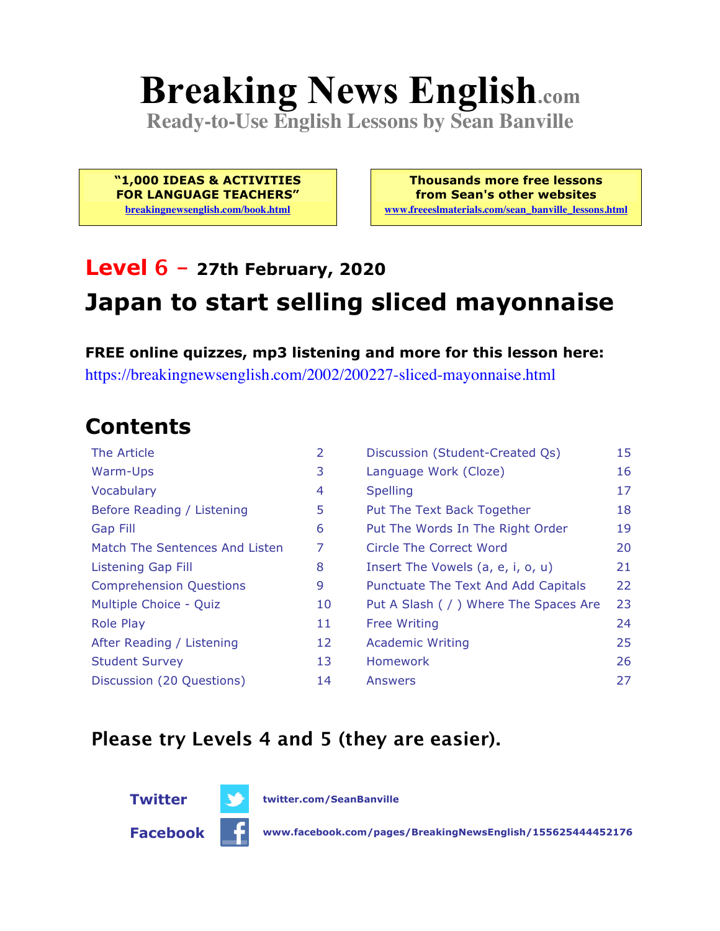# **Breaking News English.com**

**Ready-to-Use English Lessons by Sean Banville**

**"1,000 IDEAS & ACTIVITIES FOR LANGUAGE TEACHERS" breakingnewsenglish.com/book.html**

**Thousands more free lessons from Sean's other websites www.freeeslmaterials.com/sean\_banville\_lessons.html**

## **Level 6 - 27th February, 2020 Japan to start selling sliced mayonnaise**

**FREE online quizzes, mp3 listening and more for this lesson here:** https://breakingnewsenglish.com/2002/200227-sliced-mayonnaise.html

#### **Contents**

| $\overline{2}$ | Discussion (Student-Created Qs)        | 15 |
|----------------|----------------------------------------|----|
| 3              | Language Work (Cloze)                  | 16 |
| 4              | <b>Spelling</b>                        | 17 |
| 5              | Put The Text Back Together             | 18 |
| 6              | Put The Words In The Right Order       | 19 |
| 7              | Circle The Correct Word                | 20 |
| 8              | Insert The Vowels (a, e, i, o, u)      | 21 |
| 9              | Punctuate The Text And Add Capitals    | 22 |
| 10             | Put A Slash ( / ) Where The Spaces Are | 23 |
| 11             | <b>Free Writing</b>                    | 24 |
| 12             | <b>Academic Writing</b>                | 25 |
| 13             | <b>Homework</b>                        | 26 |
| 14             | Answers                                | 27 |
|                |                                        |    |

#### **Please try Levels 4 and 5 (they are easier).**



**Facebook www.facebook.com/pages/BreakingNewsEnglish/155625444452176**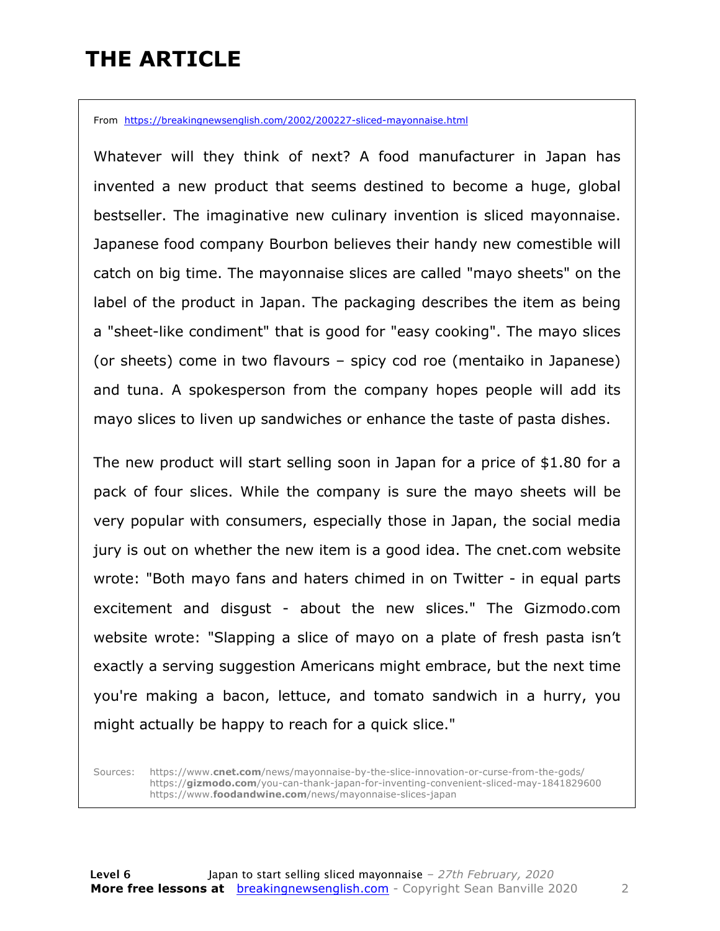### **THE ARTICLE**

From https://breakingnewsenglish.com/2002/200227-sliced-mayonnaise.html

Whatever will they think of next? A food manufacturer in Japan has invented a new product that seems destined to become a huge, global bestseller. The imaginative new culinary invention is sliced mayonnaise. Japanese food company Bourbon believes their handy new comestible will catch on big time. The mayonnaise slices are called "mayo sheets" on the label of the product in Japan. The packaging describes the item as being a "sheet-like condiment" that is good for "easy cooking". The mayo slices (or sheets) come in two flavours – spicy cod roe (mentaiko in Japanese) and tuna. A spokesperson from the company hopes people will add its mayo slices to liven up sandwiches or enhance the taste of pasta dishes.

The new product will start selling soon in Japan for a price of \$1.80 for a pack of four slices. While the company is sure the mayo sheets will be very popular with consumers, especially those in Japan, the social media jury is out on whether the new item is a good idea. The cnet.com website wrote: "Both mayo fans and haters chimed in on Twitter - in equal parts excitement and disgust - about the new slices." The Gizmodo.com website wrote: "Slapping a slice of mayo on a plate of fresh pasta isn't exactly a serving suggestion Americans might embrace, but the next time you're making a bacon, lettuce, and tomato sandwich in a hurry, you might actually be happy to reach for a quick slice."

Sources: https://www.**cnet.com**/news/mayonnaise-by-the-slice-innovation-or-curse-from-the-gods/ https://**gizmodo.com**/you-can-thank-japan-for-inventing-convenient-sliced-may-1841829600 https://www.**foodandwine.com**/news/mayonnaise-slices-japan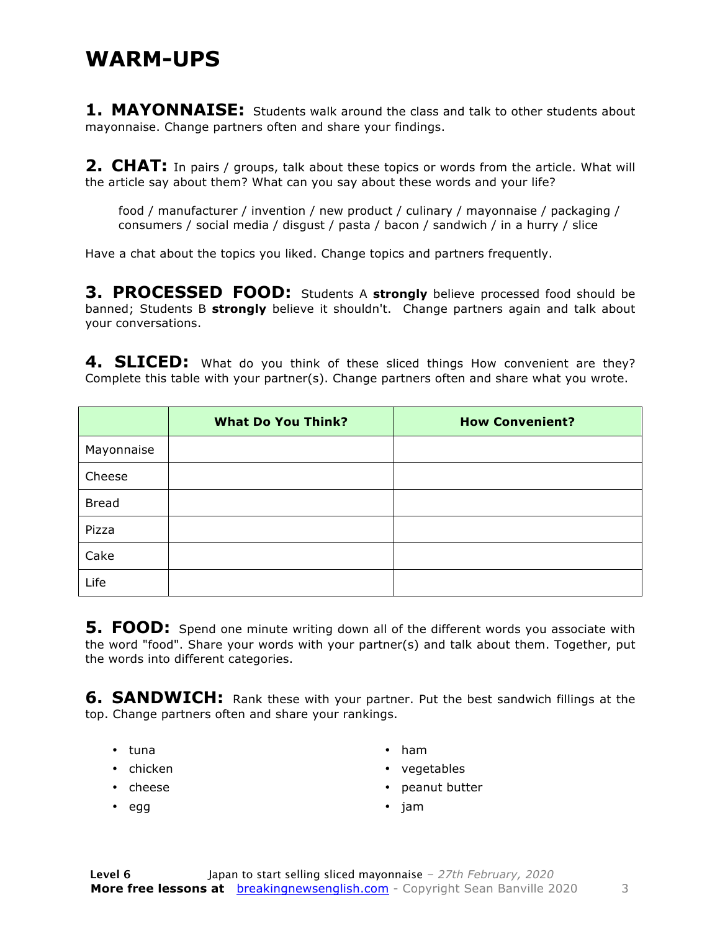#### **WARM-UPS**

**1. MAYONNAISE:** Students walk around the class and talk to other students about mayonnaise. Change partners often and share your findings.

**2. CHAT:** In pairs / groups, talk about these topics or words from the article. What will the article say about them? What can you say about these words and your life?

food / manufacturer / invention / new product / culinary / mayonnaise / packaging / consumers / social media / disgust / pasta / bacon / sandwich / in a hurry / slice

Have a chat about the topics you liked. Change topics and partners frequently.

**3. PROCESSED FOOD:** Students A **strongly** believe processed food should be banned; Students B **strongly** believe it shouldn't. Change partners again and talk about your conversations.

4. SLICED: What do you think of these sliced things How convenient are they? Complete this table with your partner(s). Change partners often and share what you wrote.

|              | <b>What Do You Think?</b> | <b>How Convenient?</b> |
|--------------|---------------------------|------------------------|
| Mayonnaise   |                           |                        |
| Cheese       |                           |                        |
| <b>Bread</b> |                           |                        |
| Pizza        |                           |                        |
| Cake         |                           |                        |
| Life         |                           |                        |

**5. FOOD:** Spend one minute writing down all of the different words you associate with the word "food". Share your words with your partner(s) and talk about them. Together, put the words into different categories.

**6. SANDWICH:** Rank these with your partner. Put the best sandwich fillings at the top. Change partners often and share your rankings.

- tuna
- chicken
- cheese

• egg

- ham
- vegetables
- peanut butter
- jam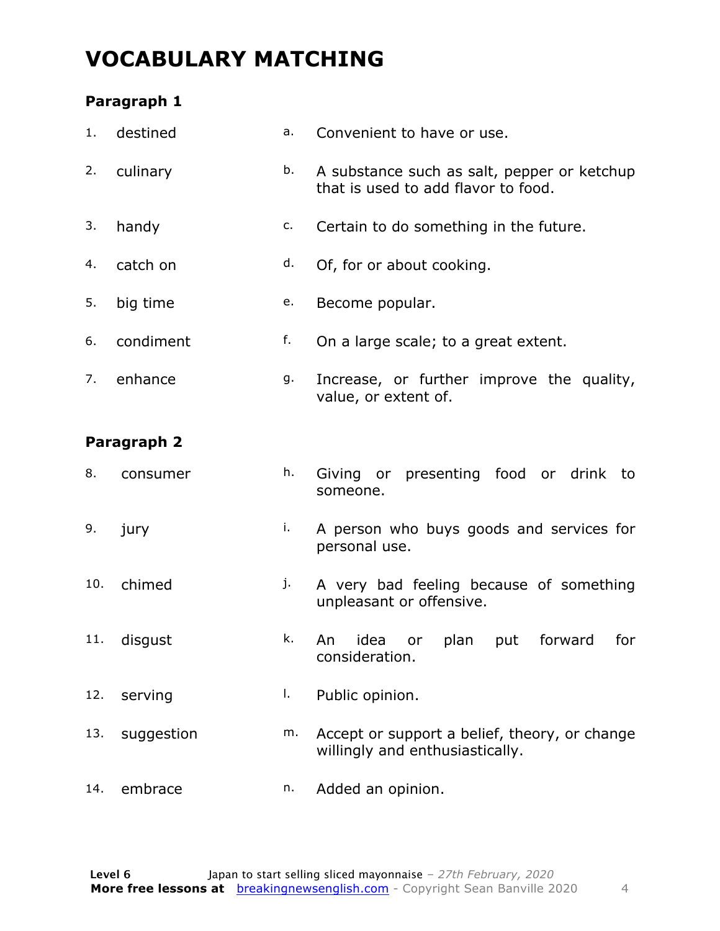### **VOCABULARY MATCHING**

#### **Paragraph 1**

| 1.  | destined    | a. | Convenient to have or use.                                                         |  |  |  |  |  |
|-----|-------------|----|------------------------------------------------------------------------------------|--|--|--|--|--|
| 2.  | culinary    | b. | A substance such as salt, pepper or ketchup<br>that is used to add flavor to food. |  |  |  |  |  |
| 3.  | handy       | c. | Certain to do something in the future.                                             |  |  |  |  |  |
| 4.  | catch on    | d. | Of, for or about cooking.                                                          |  |  |  |  |  |
| 5.  | big time    | e. | Become popular.                                                                    |  |  |  |  |  |
| 6.  | condiment   | f. | On a large scale; to a great extent.                                               |  |  |  |  |  |
| 7.  | enhance     | g. | Increase, or further improve the quality,<br>value, or extent of.                  |  |  |  |  |  |
|     | Paragraph 2 |    |                                                                                    |  |  |  |  |  |
| 8.  | consumer    | h. | or presenting food or drink to<br>Giving<br>someone.                               |  |  |  |  |  |
| 9.  | jury        | i. | A person who buys goods and services for<br>personal use.                          |  |  |  |  |  |
| 10. | chimed      | j. | A very bad feeling because of something<br>unpleasant or offensive.                |  |  |  |  |  |
| 11. | disgust     | k. | idea<br>for<br>An<br>plan<br>forward<br>put<br>or<br>consideration.                |  |  |  |  |  |
| 12. | serving     | Ι. | Public opinion.                                                                    |  |  |  |  |  |
| 13. | suggestion  | m. | Accept or support a belief, theory, or change<br>willingly and enthusiastically.   |  |  |  |  |  |
| 14. | embrace     | n. | Added an opinion.                                                                  |  |  |  |  |  |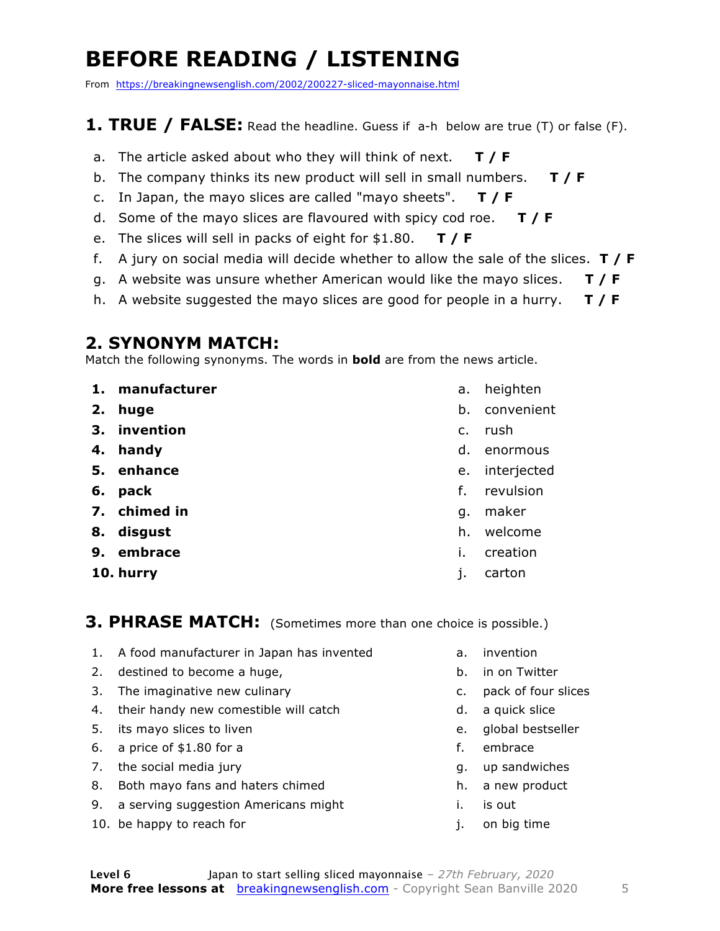### **BEFORE READING / LISTENING**

From https://breakingnewsenglish.com/2002/200227-sliced-mayonnaise.html

#### **1. TRUE / FALSE:** Read the headline. Guess if a-h below are true (T) or false (F).

- a. The article asked about who they will think of next. **T / F**
- b. The company thinks its new product will sell in small numbers. **T / F**
- c. In Japan, the mayo slices are called "mayo sheets". **T / F**
- d. Some of the mayo slices are flavoured with spicy cod roe. **T / F**
- e. The slices will sell in packs of eight for \$1.80. **T / F**
- f. A jury on social media will decide whether to allow the sale of the slices. **T / F**
- g. A website was unsure whether American would like the mayo slices. **T / F**
- h. A website suggested the mayo slices are good for people in a hurry. **T / F**

#### **2. SYNONYM MATCH:**

Match the following synonyms. The words in **bold** are from the news article.

- **1. manufacturer**
- **2. huge**
- **3. invention**
- **4. handy**
- **5. enhance**
- **6. pack**
- **7. chimed in**
- **8. disgust**
- **9. embrace**
- **10. hurry**
- a. heighten
- b. convenient
- c. rush
- d. enormous
- e. interjected
- f. revulsion
- g. maker
- h. welcome
- i. creation
- j. carton

#### **3. PHRASE MATCH:** (Sometimes more than one choice is possible.)

- 1. A food manufacturer in Japan has invented
- 2. destined to become a huge,
- 3. The imaginative new culinary
- 4. their handy new comestible will catch
- 5. its mayo slices to liven
- 6. a price of \$1.80 for a
- 7. the social media jury
- 8. Both mayo fans and haters chimed
- 9. a serving suggestion Americans might
- 10. be happy to reach for
- a. invention
- b. in on Twitter
- c. pack of four slices
- d. a quick slice
- e. global bestseller
- f. embrace
- g. up sandwiches
- h. a new product
- i. is out
- j. on big time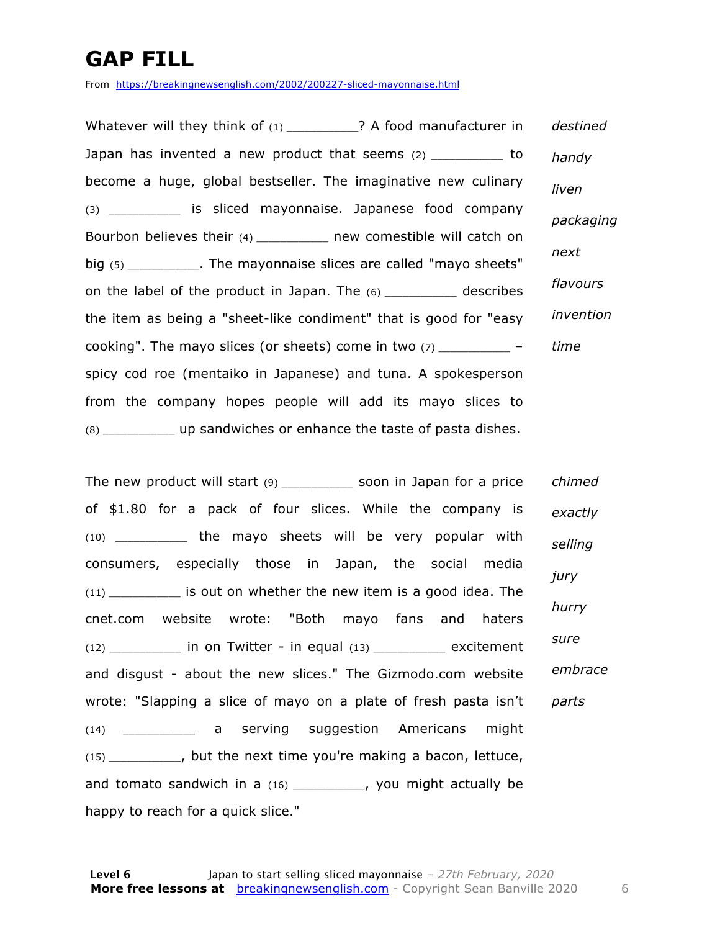### **GAP FILL**

From https://breakingnewsenglish.com/2002/200227-sliced-mayonnaise.html

Whatever will they think of (1) \_\_\_\_\_\_\_\_\_\_? A food manufacturer in Japan has invented a new product that seems (2) \_\_\_\_\_\_\_\_\_\_\_\_ to become a huge, global bestseller. The imaginative new culinary (3) \_\_\_\_\_\_\_\_\_\_\_\_ is sliced mayonnaise. Japanese food company Bourbon believes their (4) \_\_\_\_\_\_\_\_\_\_\_ new comestible will catch on big (5) \_\_\_\_\_\_\_\_\_\_\_\_. The mayonnaise slices are called "mayo sheets" on the label of the product in Japan. The (6) \_\_\_\_\_\_\_\_\_\_\_\_ describes the item as being a "sheet-like condiment" that is good for "easy cooking". The mayo slices (or sheets) come in two  $(7)$ spicy cod roe (mentaiko in Japanese) and tuna. A spokesperson from the company hopes people will add its mayo slices to (8) \_\_\_\_\_\_\_\_\_\_\_\_ up sandwiches or enhance the taste of pasta dishes. *destined handy liven packaging next flavours invention time*

The new product will start (9) \_\_\_\_\_\_\_\_\_\_\_\_ soon in Japan for a price of \$1.80 for a pack of four slices. While the company is (10) \_\_\_\_\_\_\_\_\_\_\_\_ the mayo sheets will be very popular with consumers, especially those in Japan, the social media (11) \_\_\_\_\_\_\_\_\_\_\_\_ is out on whether the new item is a good idea. The cnet.com website wrote: "Both mayo fans and haters  $(12)$  \_\_\_\_\_\_\_\_\_\_\_\_\_ in on Twitter - in equal  $(13)$  \_\_\_\_\_\_\_\_\_\_\_\_\_ excitement and disgust - about the new slices." The Gizmodo.com website wrote: "Slapping a slice of mayo on a plate of fresh pasta isn't (14) \_\_\_\_\_\_\_\_\_\_\_\_ a serving suggestion Americans might (15) \_\_\_\_\_\_\_\_\_\_\_\_, but the next time you're making a bacon, lettuce, and tomato sandwich in a (16) \_\_\_\_\_\_\_\_\_\_, you might actually be happy to reach for a quick slice." *chimed exactly selling jury hurry sure embrace parts*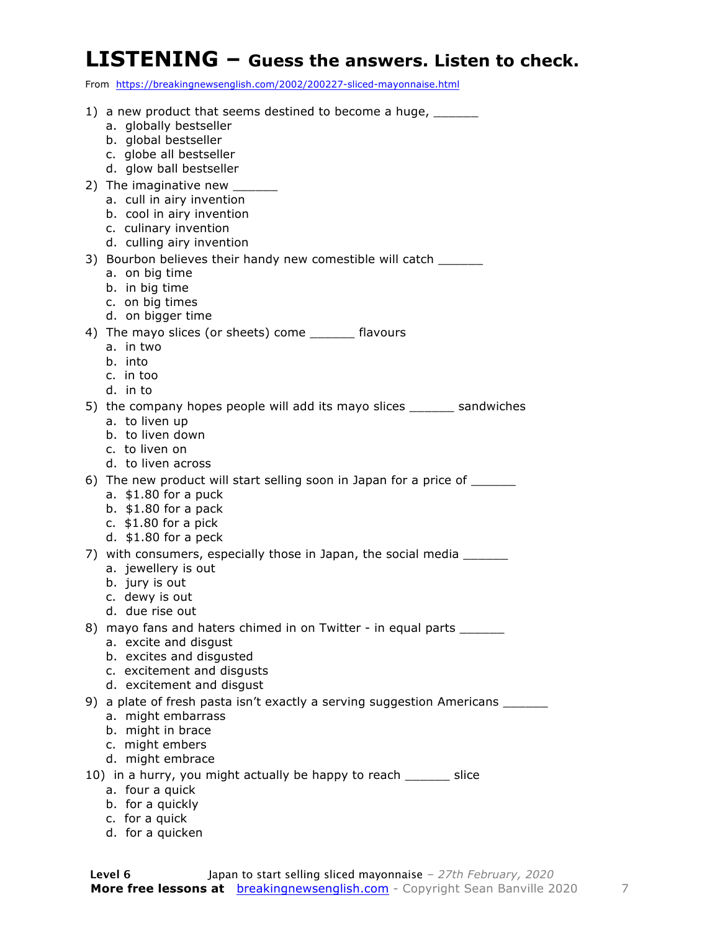#### **LISTENING – Guess the answers. Listen to check.**

From https://breakingnewsenglish.com/2002/200227-sliced-mayonnaise.html

| 1) a new product that seems destined to become a huge, _______<br>a. globally bestseller<br>b. global bestseller<br>c. globe all bestseller<br>d. glow ball bestseller                |
|---------------------------------------------------------------------------------------------------------------------------------------------------------------------------------------|
| 2) The imaginative new _____<br>a. cull in airy invention<br>b. cool in airy invention<br>c. culinary invention<br>d. culling airy invention                                          |
| 3) Bourbon believes their handy new comestible will catch<br>a. on big time<br>b. in big time<br>c. on big times<br>d. on bigger time                                                 |
| 4) The mayo slices (or sheets) come _______ flavours<br>a. in two<br>b. into<br>c. in too<br>d. in to                                                                                 |
| 5) the company hopes people will add its mayo slices _______ sandwiches<br>a. to liven up<br>b. to liven down<br>c. to liven on<br>d. to liven across                                 |
| 6) The new product will start selling soon in Japan for a price of _______<br>a. $$1.80$ for a puck<br>b. $$1.80$ for a pack<br>c. $$1.80$ for a pick<br>d. $$1.80$ for a peck        |
| 7) with consumers, especially those in Japan, the social media _______<br>a. jewellery is out<br>b. jury is out<br>c. dewy is out<br>d. due rise out                                  |
| 8) mayo fans and haters chimed in on Twitter - in equal parts _______<br>a. excite and disgust<br>b. excites and disgusted<br>c. excitement and disgusts<br>d. excitement and disgust |
| 9) a plate of fresh pasta isn't exactly a serving suggestion Americans ___<br>a. might embarrass<br>b. might in brace<br>c. might embers<br>d. might embrace                          |
| 10) in a hurry, you might actually be happy to reach ______ slice<br>a. four a quick<br>b. for a quickly<br>c. for a quick                                                            |

d. for a quicken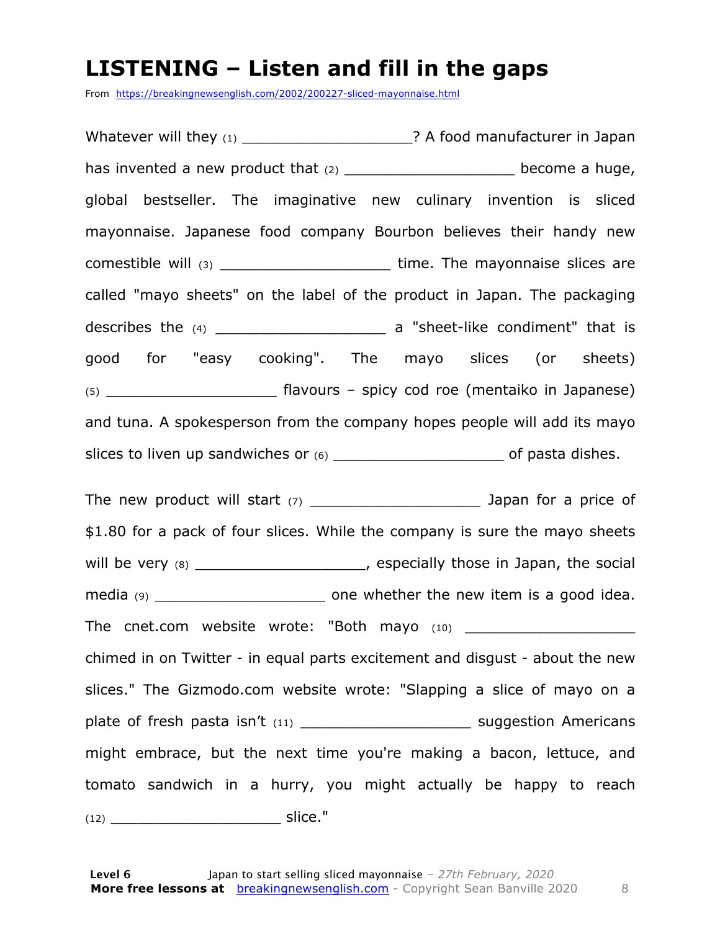#### **LISTENING – Listen and fill in the gaps**

From https://breakingnewsenglish.com/2002/200227-sliced-mayonnaise.html

Whatever will they (1) \_\_\_\_\_\_\_\_\_\_\_\_\_\_\_\_\_\_\_\_\_\_\_\_? A food manufacturer in Japan has invented a new product that  $(2)$  example  $(2)$  become a huge, global bestseller. The imaginative new culinary invention is sliced mayonnaise. Japanese food company Bourbon believes their handy new comestible will (3) \_\_\_\_\_\_\_\_\_\_\_\_\_\_\_\_\_\_\_\_\_\_\_\_\_\_\_\_\_ time. The mayonnaise slices are called "mayo sheets" on the label of the product in Japan. The packaging describes the (4) describes the (4) describes the (4) describes the (4) describes the (4) good for "easy cooking". The mayo slices (or sheets) (5) \_\_\_\_\_\_\_\_\_\_\_\_\_\_\_\_\_\_\_ flavours – spicy cod roe (mentaiko in Japanese) and tuna. A spokesperson from the company hopes people will add its mayo slices to liven up sandwiches or (6) \_\_\_\_\_\_\_\_\_\_\_\_\_\_\_\_\_\_\_ of pasta dishes.

The new product will start  $(7)$  and the state of  $\frac{1}{2}$  Japan for a price of \$1.80 for a pack of four slices. While the company is sure the mayo sheets will be very (8) will be very (8) media (9) media (9) and the whether the new item is a good idea. The cnet.com website wrote: "Both mayo (10) \_\_\_\_\_\_\_\_\_\_\_\_\_\_\_\_\_\_\_ chimed in on Twitter - in equal parts excitement and disgust - about the new slices." The Gizmodo.com website wrote: "Slapping a slice of mayo on a plate of fresh pasta isn't (11) \_\_\_\_\_\_\_\_\_\_\_\_\_\_\_\_\_\_\_\_\_\_\_\_\_\_\_\_ suggestion Americans might embrace, but the next time you're making a bacon, lettuce, and tomato sandwich in a hurry, you might actually be happy to reach (12) \_\_\_\_\_\_\_\_\_\_\_\_\_\_\_\_\_\_\_ slice."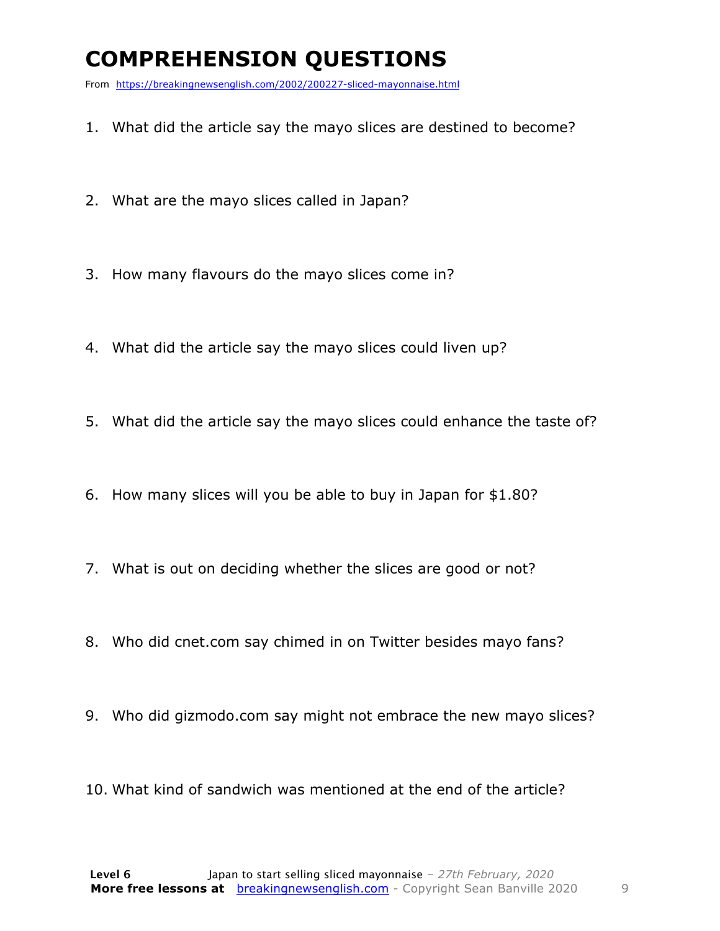### **COMPREHENSION QUESTIONS**

From https://breakingnewsenglish.com/2002/200227-sliced-mayonnaise.html

- 1. What did the article say the mayo slices are destined to become?
- 2. What are the mayo slices called in Japan?
- 3. How many flavours do the mayo slices come in?
- 4. What did the article say the mayo slices could liven up?
- 5. What did the article say the mayo slices could enhance the taste of?
- 6. How many slices will you be able to buy in Japan for \$1.80?
- 7. What is out on deciding whether the slices are good or not?
- 8. Who did cnet.com say chimed in on Twitter besides mayo fans?
- 9. Who did gizmodo.com say might not embrace the new mayo slices?
- 10. What kind of sandwich was mentioned at the end of the article?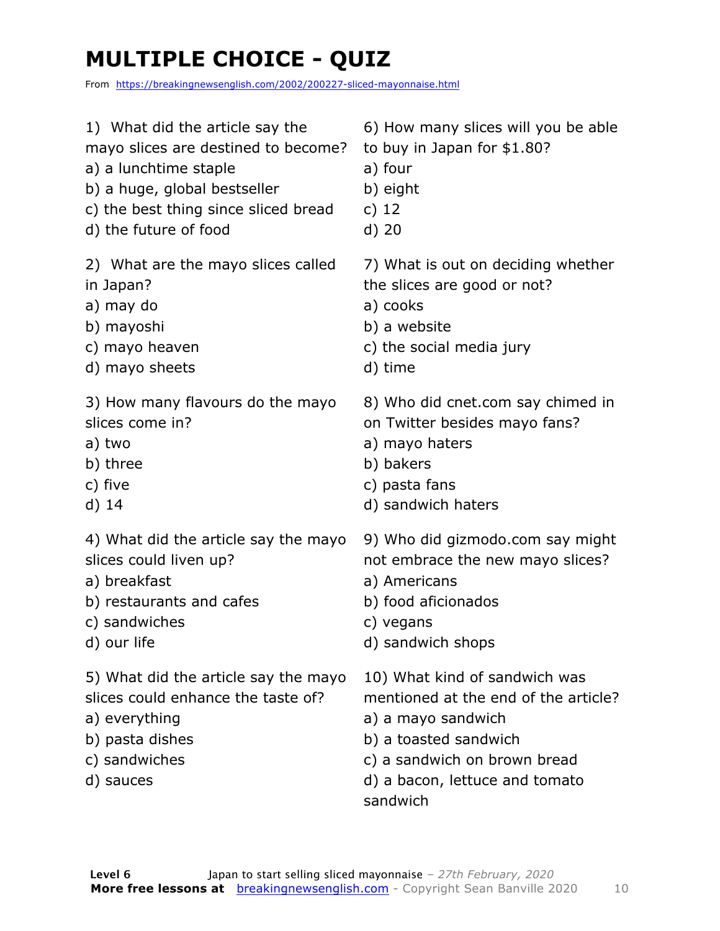### **MULTIPLE CHOICE - QUIZ**

From https://breakingnewsenglish.com/2002/200227-sliced-mayonnaise.html

| 1) What did the article say the                                                                                                              | 6) How many slices will you be able                                                                                                                                                                |
|----------------------------------------------------------------------------------------------------------------------------------------------|----------------------------------------------------------------------------------------------------------------------------------------------------------------------------------------------------|
| mayo slices are destined to become?                                                                                                          | to buy in Japan for \$1.80?                                                                                                                                                                        |
| a) a lunchtime staple                                                                                                                        | a) four                                                                                                                                                                                            |
| b) a huge, global bestseller                                                                                                                 | b) eight                                                                                                                                                                                           |
| c) the best thing since sliced bread                                                                                                         | c) $12$                                                                                                                                                                                            |
| d) the future of food                                                                                                                        | $d)$ 20                                                                                                                                                                                            |
| 2) What are the mayo slices called                                                                                                           | 7) What is out on deciding whether                                                                                                                                                                 |
| in Japan?                                                                                                                                    | the slices are good or not?                                                                                                                                                                        |
| a) may do                                                                                                                                    | a) cooks                                                                                                                                                                                           |
| b) mayoshi                                                                                                                                   | b) a website                                                                                                                                                                                       |
| c) mayo heaven                                                                                                                               | c) the social media jury                                                                                                                                                                           |
| d) mayo sheets                                                                                                                               | d) time                                                                                                                                                                                            |
| 3) How many flavours do the mayo                                                                                                             | 8) Who did cnet.com say chimed in                                                                                                                                                                  |
| slices come in?                                                                                                                              | on Twitter besides mayo fans?                                                                                                                                                                      |
| a) two                                                                                                                                       | a) mayo haters                                                                                                                                                                                     |
| b) three                                                                                                                                     | b) bakers                                                                                                                                                                                          |
| c) five                                                                                                                                      | c) pasta fans                                                                                                                                                                                      |
| $d)$ 14                                                                                                                                      | d) sandwich haters                                                                                                                                                                                 |
| 4) What did the article say the mayo                                                                                                         | 9) Who did gizmodo.com say might                                                                                                                                                                   |
| slices could liven up?                                                                                                                       | not embrace the new mayo slices?                                                                                                                                                                   |
| a) breakfast                                                                                                                                 | a) Americans                                                                                                                                                                                       |
| b) restaurants and cafes                                                                                                                     | b) food aficionados                                                                                                                                                                                |
| c) sandwiches                                                                                                                                | c) vegans                                                                                                                                                                                          |
| d) our life                                                                                                                                  | d) sandwich shops                                                                                                                                                                                  |
| 5) What did the article say the mayo<br>slices could enhance the taste of?<br>a) everything<br>b) pasta dishes<br>c) sandwiches<br>d) sauces | 10) What kind of sandwich was<br>mentioned at the end of the article?<br>a) a mayo sandwich<br>b) a toasted sandwich<br>c) a sandwich on brown bread<br>d) a bacon, lettuce and tomato<br>sandwich |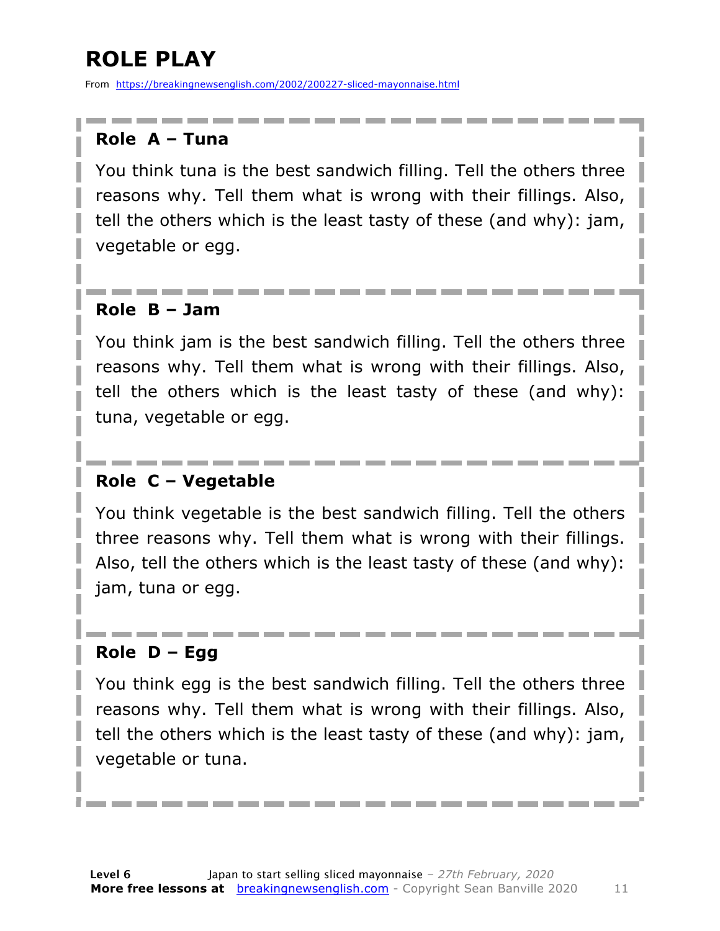### **ROLE PLAY**

From https://breakingnewsenglish.com/2002/200227-sliced-mayonnaise.html

#### **Role A – Tuna**

You think tuna is the best sandwich filling. Tell the others three reasons why. Tell them what is wrong with their fillings. Also, tell the others which is the least tasty of these (and why): jam, vegetable or egg.

#### **Role B – Jam**

You think jam is the best sandwich filling. Tell the others three reasons why. Tell them what is wrong with their fillings. Also, tell the others which is the least tasty of these (and why): tuna, vegetable or egg.

#### **Role C – Vegetable**

You think vegetable is the best sandwich filling. Tell the others three reasons why. Tell them what is wrong with their fillings. Also, tell the others which is the least tasty of these (and why): jam, tuna or egg.

#### **Role D – Egg**

You think egg is the best sandwich filling. Tell the others three reasons why. Tell them what is wrong with their fillings. Also, tell the others which is the least tasty of these (and why): jam, vegetable or tuna.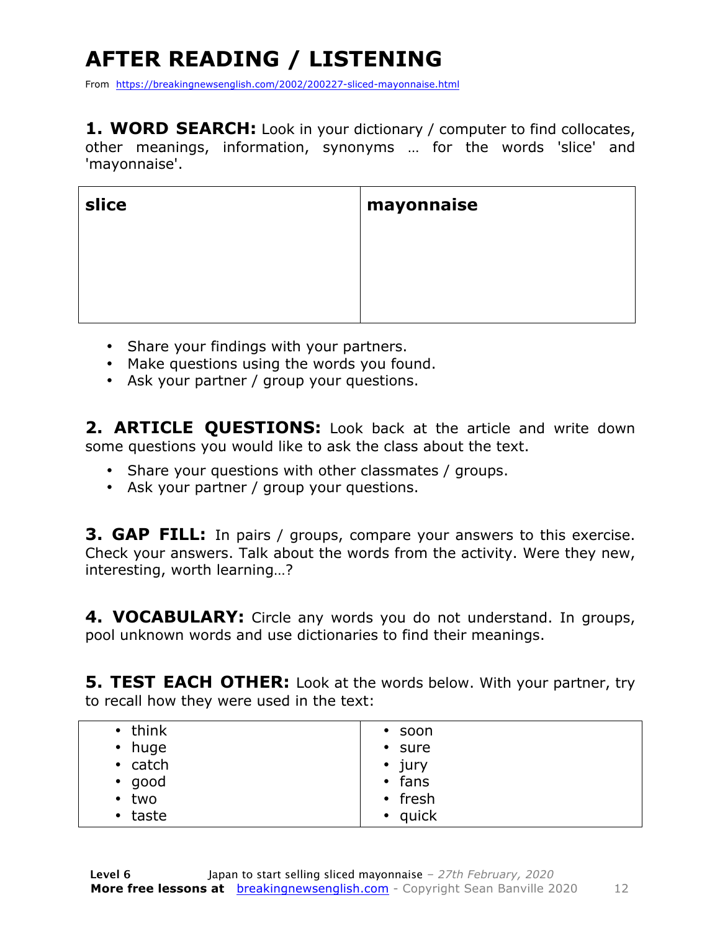### **AFTER READING / LISTENING**

From https://breakingnewsenglish.com/2002/200227-sliced-mayonnaise.html

**1. WORD SEARCH:** Look in your dictionary / computer to find collocates, other meanings, information, synonyms … for the words 'slice' and 'mayonnaise'.

| slice | mayonnaise |
|-------|------------|
|       |            |
|       |            |
|       |            |

- Share your findings with your partners.
- Make questions using the words you found.
- Ask your partner / group your questions.

**2. ARTICLE QUESTIONS:** Look back at the article and write down some questions you would like to ask the class about the text.

- Share your questions with other classmates / groups.
- Ask your partner / group your questions.

**3. GAP FILL:** In pairs / groups, compare your answers to this exercise. Check your answers. Talk about the words from the activity. Were they new, interesting, worth learning…?

**4. VOCABULARY:** Circle any words you do not understand. In groups, pool unknown words and use dictionaries to find their meanings.

**5. TEST EACH OTHER:** Look at the words below. With your partner, try to recall how they were used in the text:

| $\cdot$ think | $\cdot$ soon  |
|---------------|---------------|
| • huge        | • sure        |
| $\cdot$ catch | $\cdot$ jury  |
| $\cdot$ good  | $\cdot$ fans  |
| $\cdot$ two   | $\cdot$ fresh |
| $\cdot$ taste | $\cdot$ quick |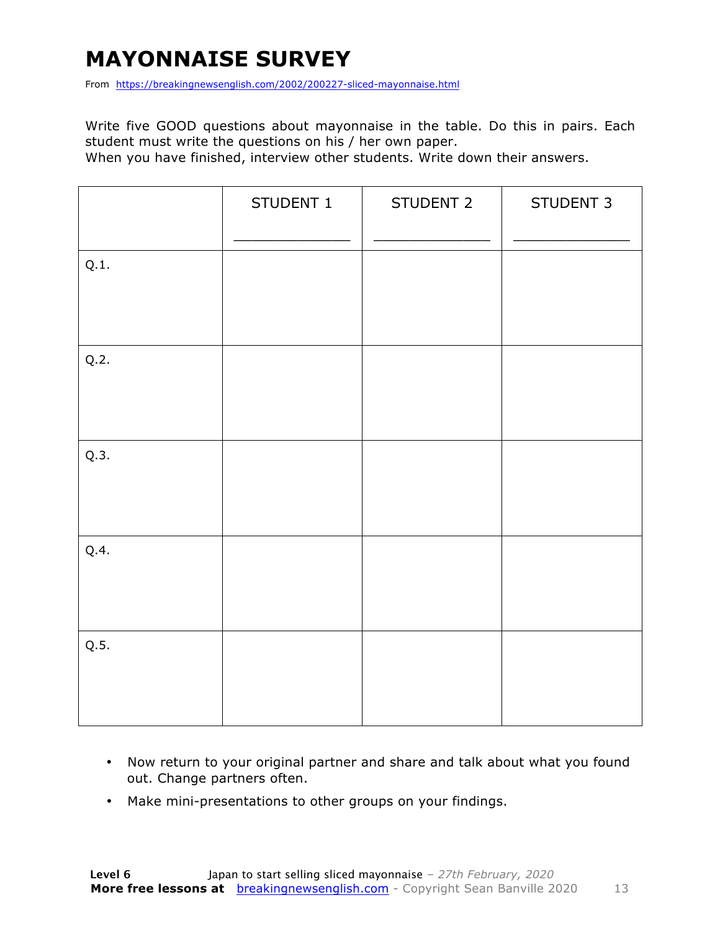### **MAYONNAISE SURVEY**

From https://breakingnewsenglish.com/2002/200227-sliced-mayonnaise.html

Write five GOOD questions about mayonnaise in the table. Do this in pairs. Each student must write the questions on his / her own paper.

When you have finished, interview other students. Write down their answers.

|      | STUDENT 1 | STUDENT 2 | STUDENT 3 |
|------|-----------|-----------|-----------|
| Q.1. |           |           |           |
| Q.2. |           |           |           |
| Q.3. |           |           |           |
| Q.4. |           |           |           |
| Q.5. |           |           |           |

- Now return to your original partner and share and talk about what you found out. Change partners often.
- Make mini-presentations to other groups on your findings.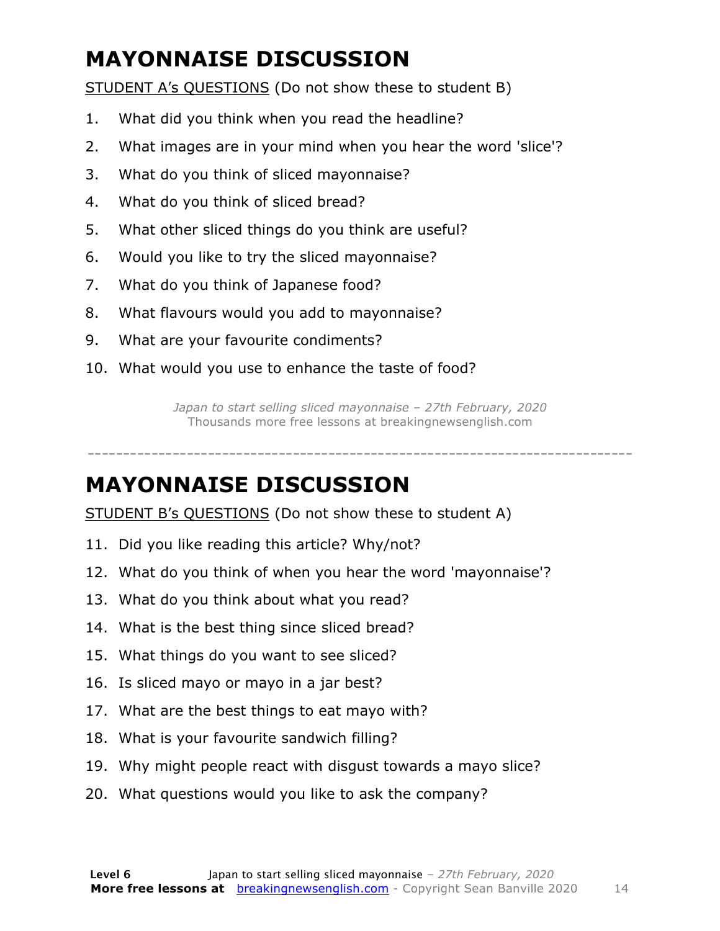### **MAYONNAISE DISCUSSION**

STUDENT A's QUESTIONS (Do not show these to student B)

- 1. What did you think when you read the headline?
- 2. What images are in your mind when you hear the word 'slice'?
- 3. What do you think of sliced mayonnaise?
- 4. What do you think of sliced bread?
- 5. What other sliced things do you think are useful?
- 6. Would you like to try the sliced mayonnaise?
- 7. What do you think of Japanese food?
- 8. What flavours would you add to mayonnaise?
- 9. What are your favourite condiments?
- 10. What would you use to enhance the taste of food?

*Japan to start selling sliced mayonnaise – 27th February, 2020* Thousands more free lessons at breakingnewsenglish.com

-----------------------------------------------------------------------------

#### **MAYONNAISE DISCUSSION**

STUDENT B's QUESTIONS (Do not show these to student A)

- 11. Did you like reading this article? Why/not?
- 12. What do you think of when you hear the word 'mayonnaise'?
- 13. What do you think about what you read?
- 14. What is the best thing since sliced bread?
- 15. What things do you want to see sliced?
- 16. Is sliced mayo or mayo in a jar best?
- 17. What are the best things to eat mayo with?
- 18. What is your favourite sandwich filling?
- 19. Why might people react with disgust towards a mayo slice?
- 20. What questions would you like to ask the company?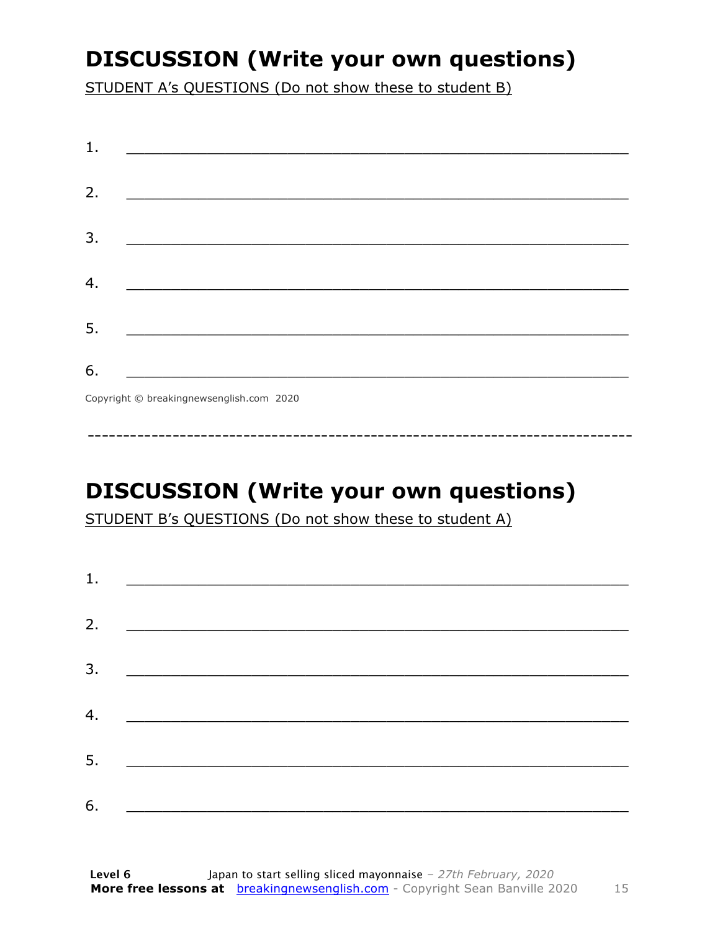### **DISCUSSION (Write your own questions)**

STUDENT A's QUESTIONS (Do not show these to student B)

| 1. |                                          |
|----|------------------------------------------|
|    |                                          |
| 2. |                                          |
|    |                                          |
| 3. |                                          |
|    |                                          |
| 4. |                                          |
|    |                                          |
| 5. |                                          |
|    |                                          |
| 6. |                                          |
|    | Copyright © breakingnewsenglish.com 2020 |

### **DISCUSSION (Write your own questions)**

STUDENT B's QUESTIONS (Do not show these to student A)

| 1. |                                                                                                                         |  |  |
|----|-------------------------------------------------------------------------------------------------------------------------|--|--|
|    |                                                                                                                         |  |  |
| 2. | <u> 1980 - Antonio Alemania, prima prestava postala de la provincia de la provincia de la provincia de la provincia</u> |  |  |
|    |                                                                                                                         |  |  |
| 3. | <u> 1980 - Andrea Andrew Maria (h. 1980).</u>                                                                           |  |  |
|    |                                                                                                                         |  |  |
| 4. | <u> 1980 - Andrea Brand, amerikansk politik (</u>                                                                       |  |  |
|    |                                                                                                                         |  |  |
| 5. |                                                                                                                         |  |  |
|    |                                                                                                                         |  |  |
| 6. |                                                                                                                         |  |  |

15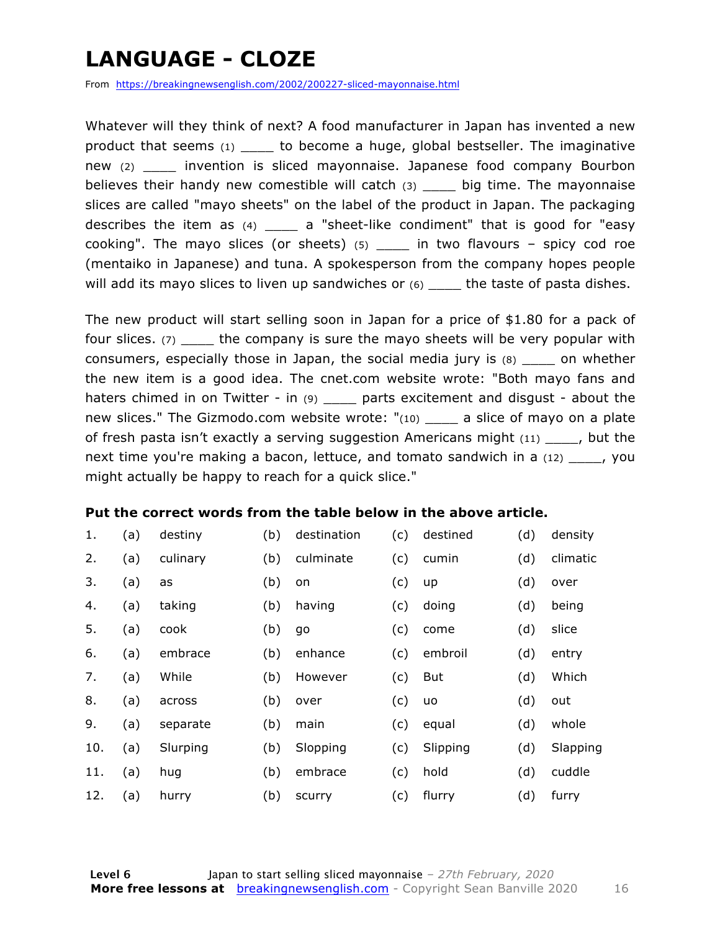### **LANGUAGE - CLOZE**

From https://breakingnewsenglish.com/2002/200227-sliced-mayonnaise.html

Whatever will they think of next? A food manufacturer in Japan has invented a new product that seems (1) \_\_\_\_ to become a huge, global bestseller. The imaginative new (2) invention is sliced mayonnaise. Japanese food company Bourbon believes their handy new comestible will catch  $(3)$  \_\_\_\_ big time. The mayonnaise slices are called "mayo sheets" on the label of the product in Japan. The packaging describes the item as (4) \_\_\_\_ a "sheet-like condiment" that is good for "easy cooking". The mayo slices (or sheets)  $(5)$  in two flavours – spicy cod roe (mentaiko in Japanese) and tuna. A spokesperson from the company hopes people will add its mayo slices to liven up sandwiches or  $(6)$  \_\_\_\_ the taste of pasta dishes.

The new product will start selling soon in Japan for a price of \$1.80 for a pack of four slices. (7) the company is sure the mayo sheets will be very popular with consumers, especially those in Japan, the social media jury is (8) \_\_\_\_ on whether the new item is a good idea. The cnet.com website wrote: "Both mayo fans and haters chimed in on Twitter - in (9) \_\_\_\_\_ parts excitement and disgust - about the new slices." The Gizmodo.com website wrote: "(10) a slice of mayo on a plate of fresh pasta isn't exactly a serving suggestion Americans might (11) \_\_\_\_, but the next time you're making a bacon, lettuce, and tomato sandwich in a (12) \_\_\_\_, you might actually be happy to reach for a quick slice."

#### **Put the correct words from the table below in the above article.**

| 1.  | (a) | destiny  | (b) | destination | (c) | destined | (d) | density  |
|-----|-----|----------|-----|-------------|-----|----------|-----|----------|
| 2.  | (a) | culinary | (b) | culminate   | (c) | cumin    | (d) | climatic |
| 3.  | (a) | as       | (b) | on          | (c) | up       | (d) | over     |
| 4.  | (a) | taking   | (b) | having      | (c) | doing    | (d) | being    |
| 5.  | (a) | cook     | (b) | go          | (c) | come     | (d) | slice    |
| 6.  | (a) | embrace  | (b) | enhance     | (c) | embroil  | (d) | entry    |
| 7.  | (a) | While    | (b) | However     | (c) | But      | (d) | Which    |
| 8.  | (a) | across   | (b) | over        | (c) | uo       | (d) | out      |
| 9.  | (a) | separate | (b) | main        | (c) | equal    | (d) | whole    |
| 10. | (a) | Slurping | (b) | Slopping    | (c) | Slipping | (d) | Slapping |
| 11. | (a) | hug      | (b) | embrace     | (c) | hold     | (d) | cuddle   |
| 12. | (a) | hurry    | (b) | scurry      | (c) | flurry   | (d) | furry    |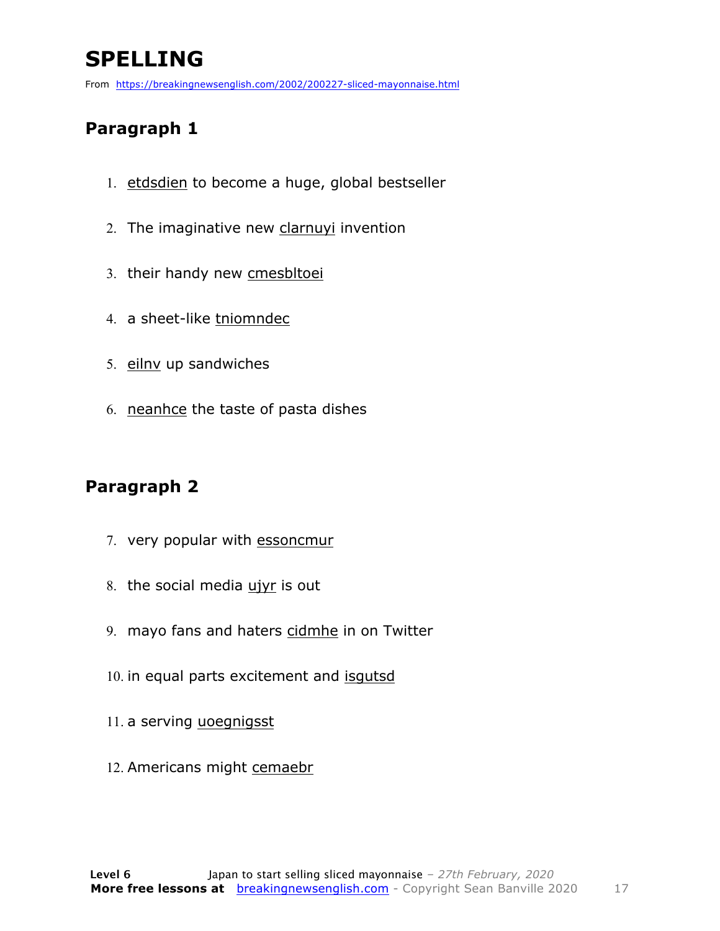### **SPELLING**

From https://breakingnewsenglish.com/2002/200227-sliced-mayonnaise.html

#### **Paragraph 1**

- 1. etdsdien to become a huge, global bestseller
- 2. The imaginative new clarnuyi invention
- 3. their handy new cmesbltoei
- 4. a sheet-like tniomndec
- 5. eilnv up sandwiches
- 6. neanhce the taste of pasta dishes

#### **Paragraph 2**

- 7. very popular with essoncmur
- 8. the social media ujyr is out
- 9. mayo fans and haters cidmhe in on Twitter
- 10. in equal parts excitement and isqutsd
- 11. a serving uoegnigsst
- 12. Americans might cemaebr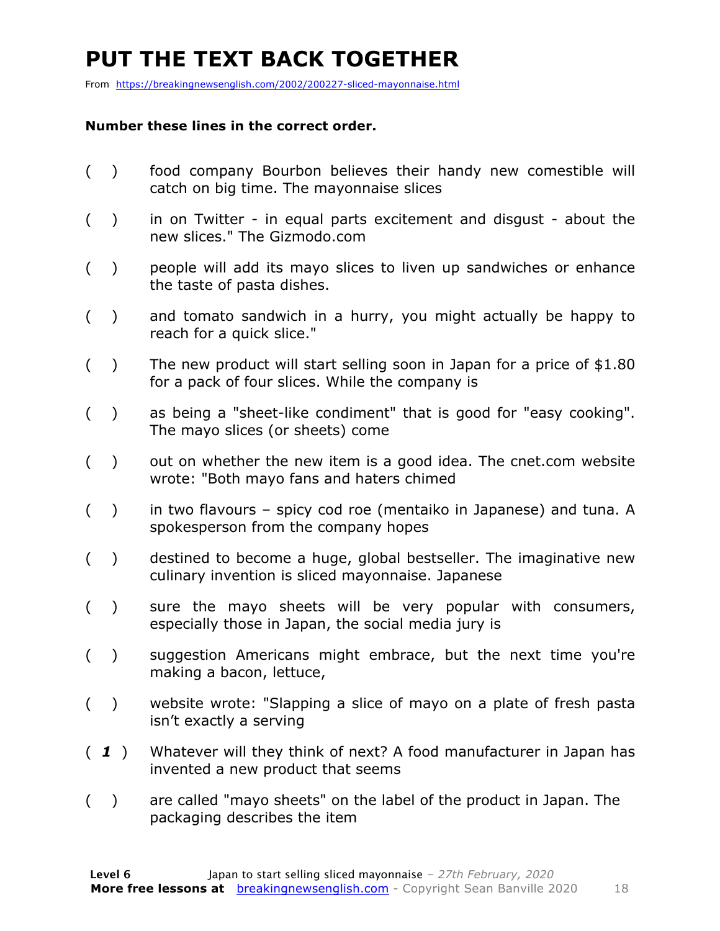### **PUT THE TEXT BACK TOGETHER**

From https://breakingnewsenglish.com/2002/200227-sliced-mayonnaise.html

#### **Number these lines in the correct order.**

- ( ) food company Bourbon believes their handy new comestible will catch on big time. The mayonnaise slices
- ( ) in on Twitter in equal parts excitement and disgust about the new slices." The Gizmodo.com
- ( ) people will add its mayo slices to liven up sandwiches or enhance the taste of pasta dishes.
- ( ) and tomato sandwich in a hurry, you might actually be happy to reach for a quick slice."
- ( ) The new product will start selling soon in Japan for a price of \$1.80 for a pack of four slices. While the company is
- ( ) as being a "sheet-like condiment" that is good for "easy cooking". The mayo slices (or sheets) come
- $($ ) out on whether the new item is a good idea. The cnet.com website wrote: "Both mayo fans and haters chimed
- ( ) in two flavours spicy cod roe (mentaiko in Japanese) and tuna. A spokesperson from the company hopes
- ( ) destined to become a huge, global bestseller. The imaginative new culinary invention is sliced mayonnaise. Japanese
- ( ) sure the mayo sheets will be very popular with consumers, especially those in Japan, the social media jury is
- ( ) suggestion Americans might embrace, but the next time you're making a bacon, lettuce,
- ( ) website wrote: "Slapping a slice of mayo on a plate of fresh pasta isn't exactly a serving
- ( *1* ) Whatever will they think of next? A food manufacturer in Japan has invented a new product that seems
- ( ) are called "mayo sheets" on the label of the product in Japan. The packaging describes the item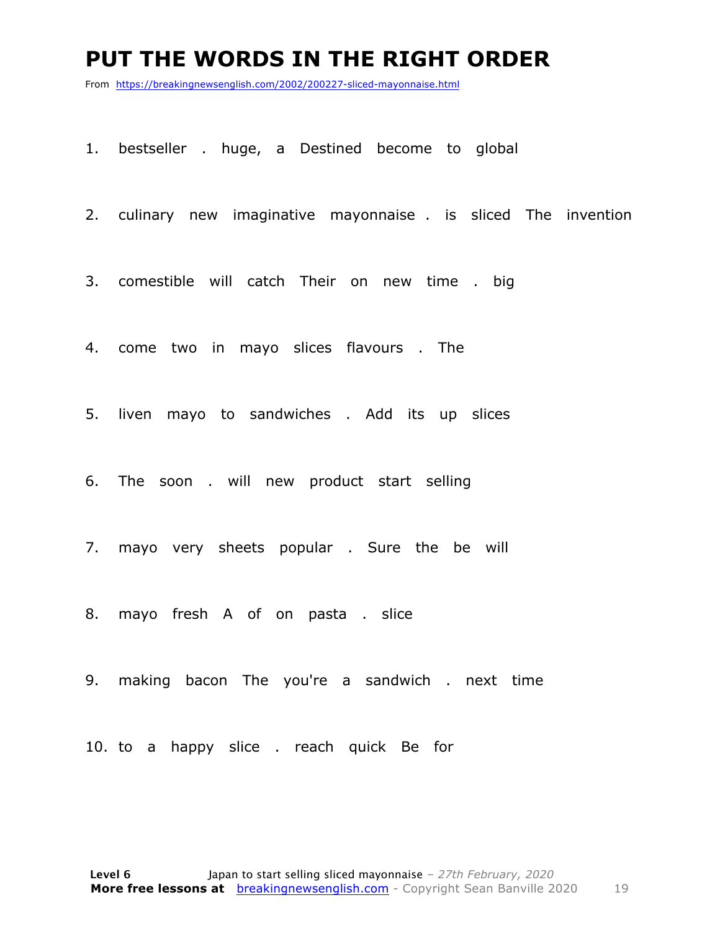#### **PUT THE WORDS IN THE RIGHT ORDER**

From https://breakingnewsenglish.com/2002/200227-sliced-mayonnaise.html

1. bestseller . huge, a Destined become to global

2. culinary new imaginative mayonnaise . is sliced The invention

3. comestible will catch Their on new time . big

4. come two in mayo slices flavours . The

5. liven mayo to sandwiches . Add its up slices

6. The soon . will new product start selling

7. mayo very sheets popular . Sure the be will

8. mayo fresh A of on pasta . slice

9. making bacon The you're a sandwich . next time

10. to a happy slice . reach quick Be for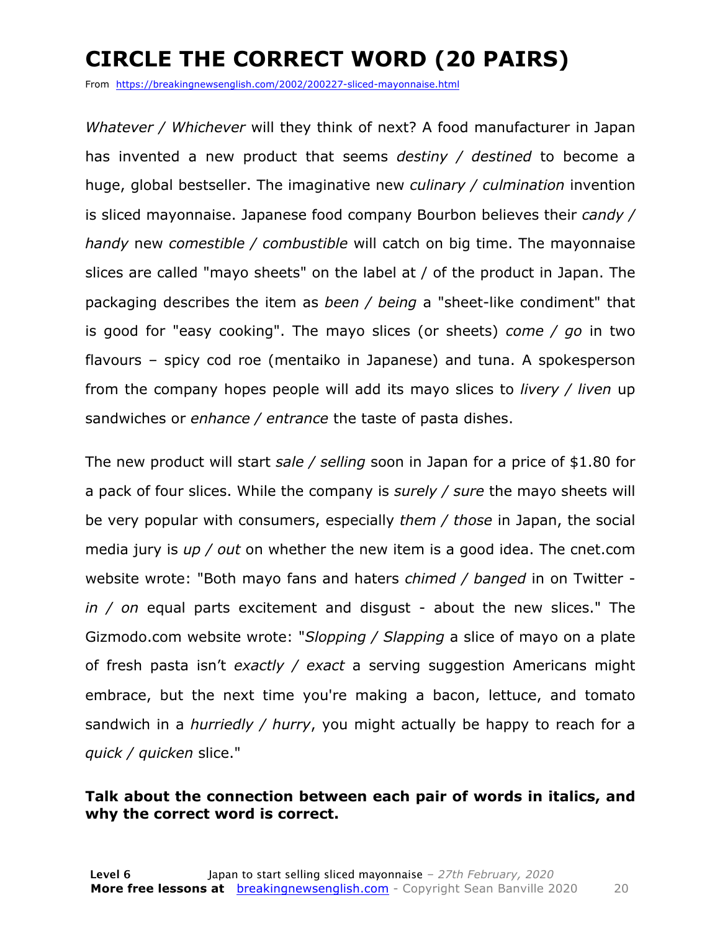### **CIRCLE THE CORRECT WORD (20 PAIRS)**

From https://breakingnewsenglish.com/2002/200227-sliced-mayonnaise.html

*Whatever / Whichever* will they think of next? A food manufacturer in Japan has invented a new product that seems *destiny / destined* to become a huge, global bestseller. The imaginative new *culinary / culmination* invention is sliced mayonnaise. Japanese food company Bourbon believes their *candy / handy* new *comestible / combustible* will catch on big time. The mayonnaise slices are called "mayo sheets" on the label at / of the product in Japan. The packaging describes the item as *been / being* a "sheet-like condiment" that is good for "easy cooking". The mayo slices (or sheets) *come / go* in two flavours – spicy cod roe (mentaiko in Japanese) and tuna. A spokesperson from the company hopes people will add its mayo slices to *livery / liven* up sandwiches or *enhance / entrance* the taste of pasta dishes.

The new product will start *sale / selling* soon in Japan for a price of \$1.80 for a pack of four slices. While the company is *surely / sure* the mayo sheets will be very popular with consumers, especially *them / those* in Japan, the social media jury is *up / out* on whether the new item is a good idea. The cnet.com website wrote: "Both mayo fans and haters *chimed / banged* in on Twitter *in / on* equal parts excitement and disgust - about the new slices." The Gizmodo.com website wrote: "*Slopping / Slapping* a slice of mayo on a plate of fresh pasta isn't *exactly / exact* a serving suggestion Americans might embrace, but the next time you're making a bacon, lettuce, and tomato sandwich in a *hurriedly / hurry*, you might actually be happy to reach for a *quick / quicken* slice."

#### **Talk about the connection between each pair of words in italics, and why the correct word is correct.**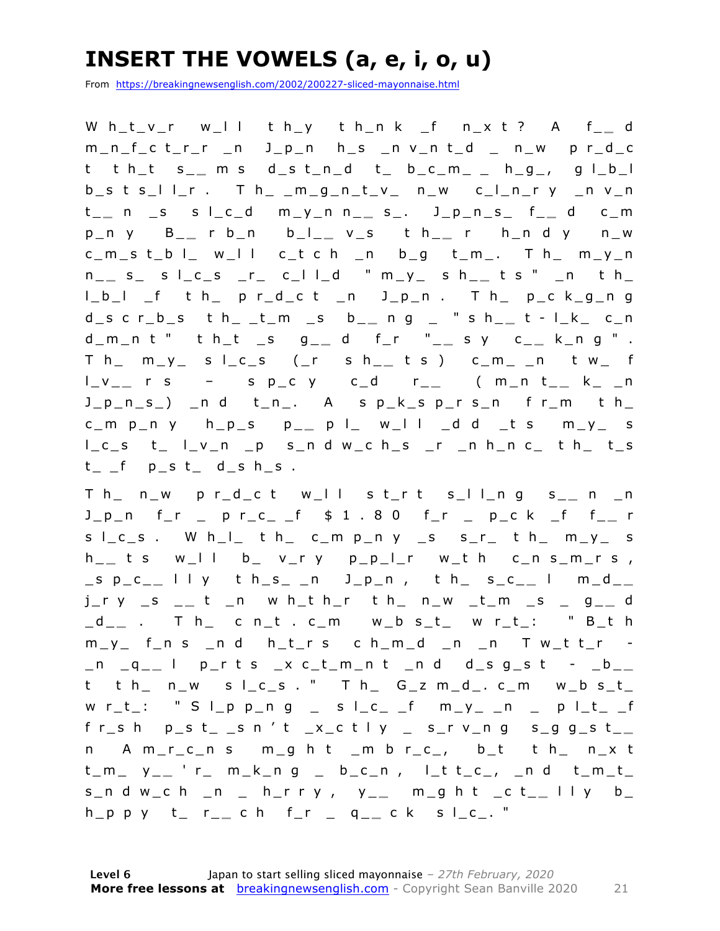### **INSERT THE VOWELS (a, e, i, o, u)**

From https://breakingnewsenglish.com/2002/200227-sliced-mayonnaise.html

W h\_t\_v\_r w\_l l t h\_y t h\_n k \_f n\_x t ? A f\_ **\_** d m\_n\_f\_c t\_r\_r \_n J\_p\_n h\_s \_n v\_n t\_d \_ n\_w p r\_d\_c t t h\_t s\_ **\_** m s d\_s t\_n\_d t\_ b\_c\_m\_ \_ h\_g\_, g l\_b\_l  $b_s$  t s\_l l\_r . T h\_ \_m\_g\_n\_t\_v\_ n\_w c\_l\_n\_r y \_n v\_n t \_ **\_** n \_s s l\_c\_d m\_y\_n n\_ **\_** s\_. J\_p\_n\_s\_ f\_ **\_** d c\_m p\_n y B\_ **\_** r b\_n b\_l\_ **\_** v\_s t h\_ **\_** r h\_n d y n\_w  $c_{m,s}$  t\_b |\_ w\_l l  $c_{t}$  c h \_n b\_g t\_m\_. T h\_ m\_y\_n n \_ **\_** s\_ s l\_c\_s \_r\_ c\_l l\_d " m\_y\_ s h\_ **\_** t s " \_n t h\_ l\_b\_l \_f t h\_ p r\_d\_c t \_n J\_p\_n . T h\_ p\_c k\_g\_n g d\_s c r\_b\_s t h\_ \_t\_m \_s b\_ **\_** n g \_ " s h\_ **\_** t - l\_k\_ c\_n d\_m\_n t " t h\_ t \_s g\_ **\_** d f\_r "\_ **\_** s y c\_ **\_** k\_n g " . T h\_ m\_y\_ s l\_c\_s (\_r s h\_ **\_** t s ) c\_m\_ \_n t w\_ f l\_v\_ **\_** r s – s p\_c y c\_d r\_ **\_** ( m\_n t\_ **\_** k\_ \_n  $J_p_n_s$ )  $n$  d t\_n\_. A s p\_k\_s p\_r s\_n f r\_m t h\_ c\_m  $p_n$  y  $h_p$ \_s  $p_{-}$   $p_l$  w\_ll \_d d \_t s m\_y\_ s l\_c\_s t\_ l\_v\_n \_p s\_n d w\_c h\_s \_r \_n h\_n c\_ t h\_ t\_s  $t_{-}$   $f_{-}$   $p_{-}$ s  $t_{-}$   $d_{-}$ s  $h_{-}$ s .

T h\_ n\_w p r\_d\_c t w\_l l s t\_r t s\_l l\_n g s\_ **\_** n \_n J\_p\_n f\_r \_ p r\_c\_ \_f \$ 1 . 8 0 f\_r \_ p\_c k \_f f\_ **\_** r  $s \mid c_s$ . Wh $\mid l$  th c\_m p\_n y \_s s\_r\_ th m\_y\_ s h \_ **\_** t s w\_l l b\_ v\_r y p\_p\_l\_r w\_t h c\_n s\_m\_r s , \_s p\_c\_ **\_** l l y t h\_s\_ \_n J\_p\_n , t h\_ s\_c\_ **\_** l m\_d\_ **\_**  j\_r y \_s \_ **\_** t \_n w h\_t h\_r t h\_ n\_w \_t\_m \_s \_ g\_ **\_** d \_d\_ **\_** . T h\_ c n\_t . c\_m w\_b s\_t\_ w r\_t\_: " B\_t h  $m_y$  f\_n s \_n d h\_t\_r s c h\_m\_d \_n \_n T w\_t t\_r -\_n \_q\_ **\_** l p\_r t s \_x c\_t\_m\_n t \_n d d\_s g\_s t - \_b\_ **\_**   $t$  t  $h$  n\_w s l\_c\_s . " T  $h$  G\_z m\_d\_. c\_m w\_b s\_t\_ w r\_t\_: " S I\_p p\_n g \_ s I\_c\_ \_f m\_y\_ \_n \_ p I\_t\_ \_f f r\_s h p\_s t\_ \_s n ' t \_x\_c t l y \_ s\_r v\_n g s\_g g\_s t\_ **\_**  n A m\_r\_c\_n s m\_g h t \_m b r\_c\_, b\_t t h\_ n\_x t  $t_{m}$   $y_{-}$   $r_{-}$   $m_{-}$ k<sub>-</sub>n g b<sub>-</sub>c<sub>-n</sub>, l<sub>-t</sub>  $t_{-}$ <sub>c-r</sub>,  $_{-}$ n d  $t_{-}$ m<sub>-</sub>t<sub>-</sub> s\_n d w\_c h \_n \_ h\_r r y , y\_ **\_** m\_g h t \_c t\_ **\_** l l y b\_ h\_p p y t\_ r\_ **\_** c h f\_r \_ q\_ **\_** c k s l\_c\_. "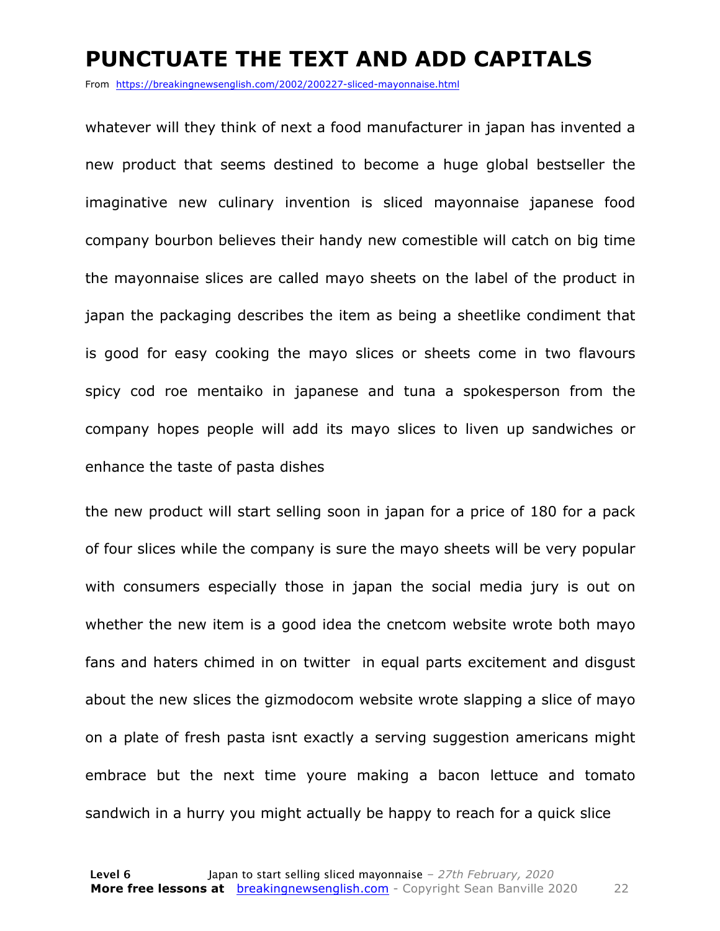#### **PUNCTUATE THE TEXT AND ADD CAPITALS**

From https://breakingnewsenglish.com/2002/200227-sliced-mayonnaise.html

whatever will they think of next a food manufacturer in japan has invented a new product that seems destined to become a huge global bestseller the imaginative new culinary invention is sliced mayonnaise japanese food company bourbon believes their handy new comestible will catch on big time the mayonnaise slices are called mayo sheets on the label of the product in japan the packaging describes the item as being a sheetlike condiment that is good for easy cooking the mayo slices or sheets come in two flavours spicy cod roe mentaiko in japanese and tuna a spokesperson from the company hopes people will add its mayo slices to liven up sandwiches or enhance the taste of pasta dishes

the new product will start selling soon in japan for a price of 180 for a pack of four slices while the company is sure the mayo sheets will be very popular with consumers especially those in japan the social media jury is out on whether the new item is a good idea the cnetcom website wrote both mayo fans and haters chimed in on twitter in equal parts excitement and disgust about the new slices the gizmodocom website wrote slapping a slice of mayo on a plate of fresh pasta isnt exactly a serving suggestion americans might embrace but the next time youre making a bacon lettuce and tomato sandwich in a hurry you might actually be happy to reach for a quick slice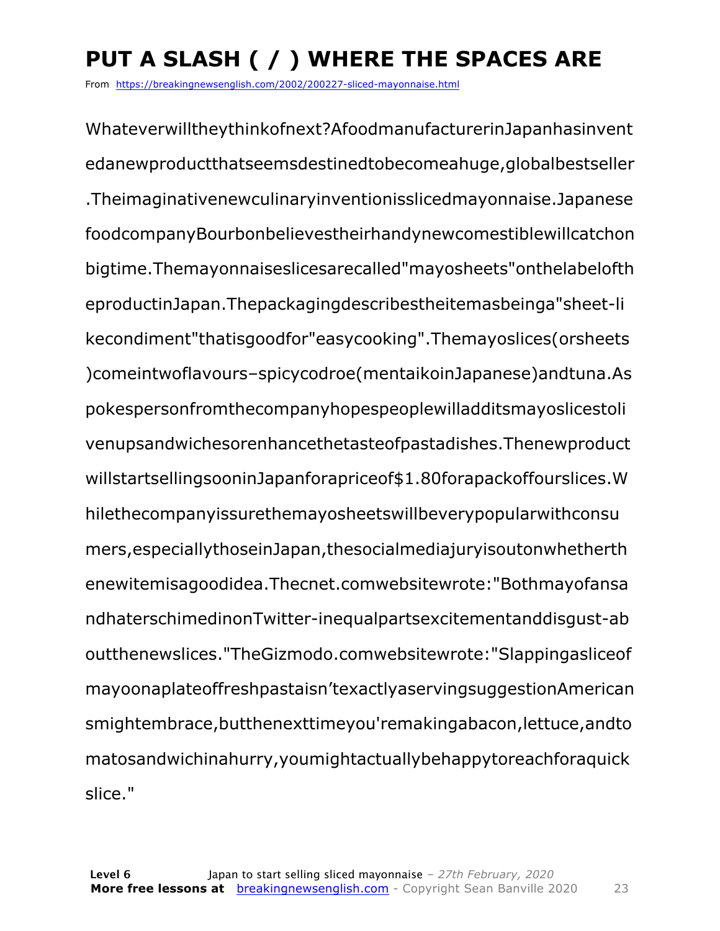## **PUT A SLASH ( / ) WHERE THE SPACES ARE**

From https://breakingnewsenglish.com/2002/200227-sliced-mayonnaise.html

Whateverwilltheythinkofnext?AfoodmanufacturerinJapanhasinvent edanewproductthatseemsdestinedtobecomeahuge,globalbestseller .Theimaginativenewculinaryinventionisslicedmayonnaise.Japanese foodcompanyBourbonbelievestheirhandynewcomestiblewillcatchon bigtime.Themayonnaiseslicesarecalled"mayosheets"onthelabelofth eproductinJapan.Thepackagingdescribestheitemasbeinga"sheet-li kecondiment"thatisgoodfor"easycooking".Themayoslices(orsheets )comeintwoflavours–spicycodroe(mentaikoinJapanese)andtuna.As pokespersonfromthecompanyhopespeoplewilladditsmayoslicestoli venupsandwichesorenhancethetasteofpastadishes.Thenewproduct willstartsellingsooninJapanforapriceof\$1.80forapackoffourslices.W hilethecompanyissurethemayosheetswillbeverypopularwithconsu mers,especiallythoseinJapan,thesocialmediajuryisoutonwhetherth enewitemisagoodidea.Thecnet.comwebsitewrote:"Bothmayofansa ndhaterschimedinonTwitter-inequalpartsexcitementanddisgust-ab outthenewslices."TheGizmodo.comwebsitewrote:"Slappingasliceof mayoonaplateoffreshpastaisn'texactlyaservingsuggestionAmerican smightembrace,butthenexttimeyou'remakingabacon,lettuce,andto matosandwichinahurry,youmightactuallybehappytoreachforaquick slice."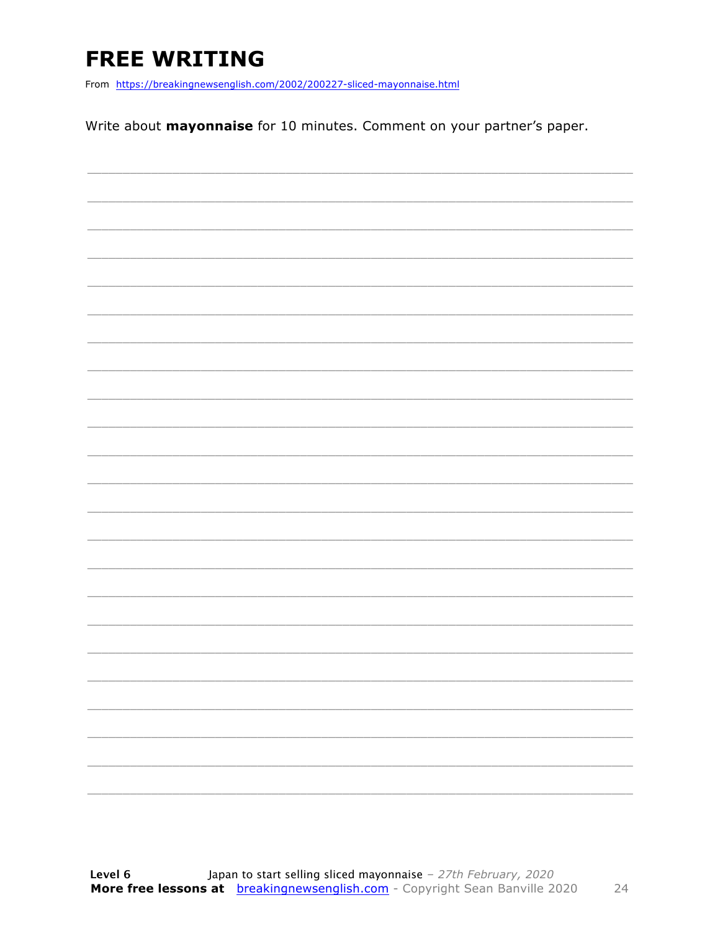### **FREE WRITING**

From https://breakingnewsenglish.com/2002/200227-sliced-mayonnaise.html

Write about mayonnaise for 10 minutes. Comment on your partner's paper.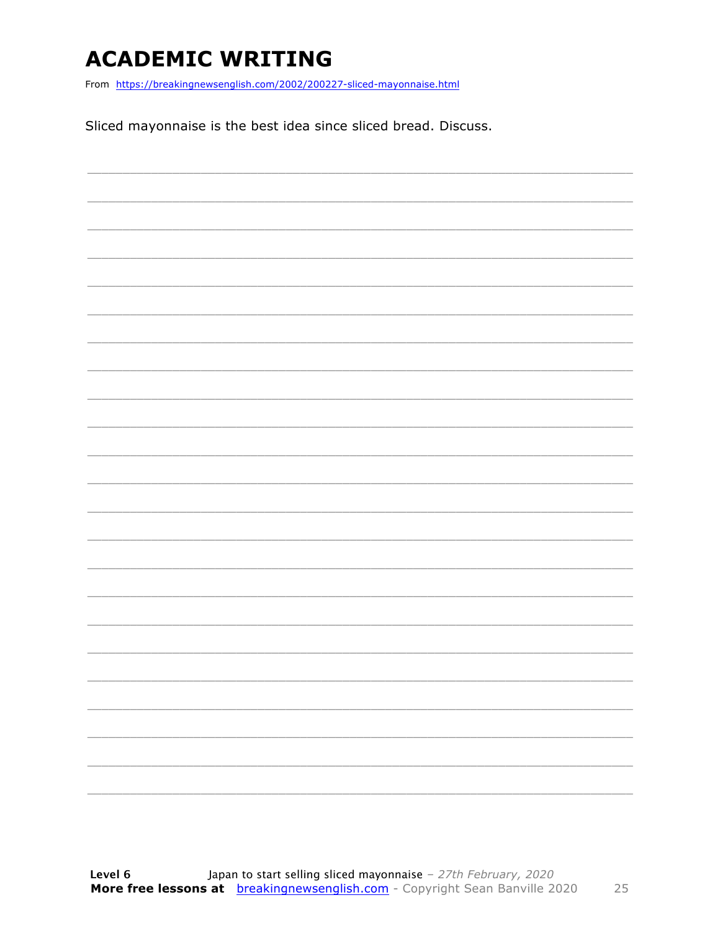### **ACADEMIC WRITING**

From https://breakingnewsenglish.com/2002/200227-sliced-mayonnaise.html

Sliced mayonnaise is the best idea since sliced bread. Discuss.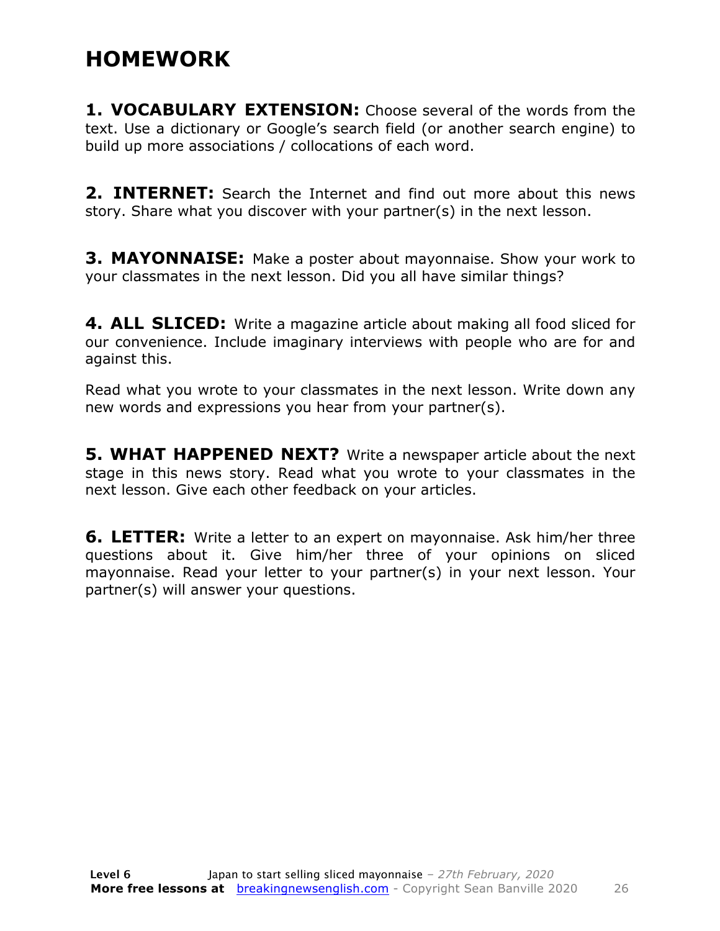### **HOMEWORK**

**1. VOCABULARY EXTENSION:** Choose several of the words from the text. Use a dictionary or Google's search field (or another search engine) to build up more associations / collocations of each word.

**2. INTERNET:** Search the Internet and find out more about this news story. Share what you discover with your partner(s) in the next lesson.

**3. MAYONNAISE:** Make a poster about mayonnaise. Show your work to your classmates in the next lesson. Did you all have similar things?

**4. ALL SLICED:** Write a magazine article about making all food sliced for our convenience. Include imaginary interviews with people who are for and against this.

Read what you wrote to your classmates in the next lesson. Write down any new words and expressions you hear from your partner(s).

**5. WHAT HAPPENED NEXT?** Write a newspaper article about the next stage in this news story. Read what you wrote to your classmates in the next lesson. Give each other feedback on your articles.

**6. LETTER:** Write a letter to an expert on mayonnaise. Ask him/her three questions about it. Give him/her three of your opinions on sliced mayonnaise. Read your letter to your partner(s) in your next lesson. Your partner(s) will answer your questions.